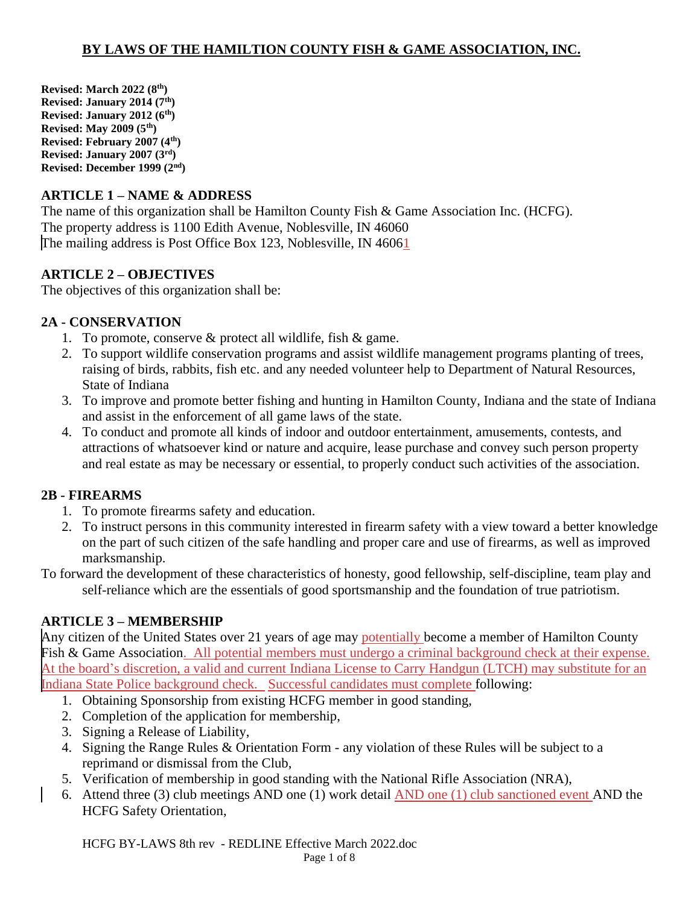**Revised: March 2022 (8th) Revised: January 2014 (7th) Revised: January 2012 (6th) Revised: May 2009 (5th) Revised: February 2007 (4th) Revised: January 2007 (3rd) Revised: December 1999 (2nd)**

### **ARTICLE 1 – NAME & ADDRESS**

The name of this organization shall be Hamilton County Fish & Game Association Inc. (HCFG). The property address is 1100 Edith Avenue, Noblesville, IN 46060 The mailing address is Post Office Box 123, Noblesville, IN 46061

#### **ARTICLE 2 – OBJECTIVES**

The objectives of this organization shall be:

### **2A - CONSERVATION**

- 1. To promote, conserve  $&$  protect all wildlife, fish  $&$  game.
- 2. To support wildlife conservation programs and assist wildlife management programs planting of trees, raising of birds, rabbits, fish etc. and any needed volunteer help to Department of Natural Resources, State of Indiana
- 3. To improve and promote better fishing and hunting in Hamilton County, Indiana and the state of Indiana and assist in the enforcement of all game laws of the state.
- 4. To conduct and promote all kinds of indoor and outdoor entertainment, amusements, contests, and attractions of whatsoever kind or nature and acquire, lease purchase and convey such person property and real estate as may be necessary or essential, to properly conduct such activities of the association.

## **2B - FIREARMS**

- 1. To promote firearms safety and education.
- 2. To instruct persons in this community interested in firearm safety with a view toward a better knowledge on the part of such citizen of the safe handling and proper care and use of firearms, as well as improved marksmanship.

To forward the development of these characteristics of honesty, good fellowship, self-discipline, team play and self-reliance which are the essentials of good sportsmanship and the foundation of true patriotism.

## **ARTICLE 3 – MEMBERSHIP**

Any citizen of the United States over 21 years of age may potentially become a member of Hamilton County Fish & Game Association. All potential members must undergo a criminal background check at their expense. At the board's discretion, a valid and current Indiana License to Carry Handgun (LTCH) may substitute for an Indiana State Police background check. Successful candidates must complete following:

- 1. Obtaining Sponsorship from existing HCFG member in good standing,
- 2. Completion of the application for membership,
- 3. Signing a Release of Liability,
- 4. Signing the Range Rules & Orientation Form any violation of these Rules will be subject to a reprimand or dismissal from the Club,
- 5. Verification of membership in good standing with the National Rifle Association (NRA),
- 6. Attend three (3) club meetings AND one (1) work detail AND one (1) club sanctioned event AND the HCFG Safety Orientation,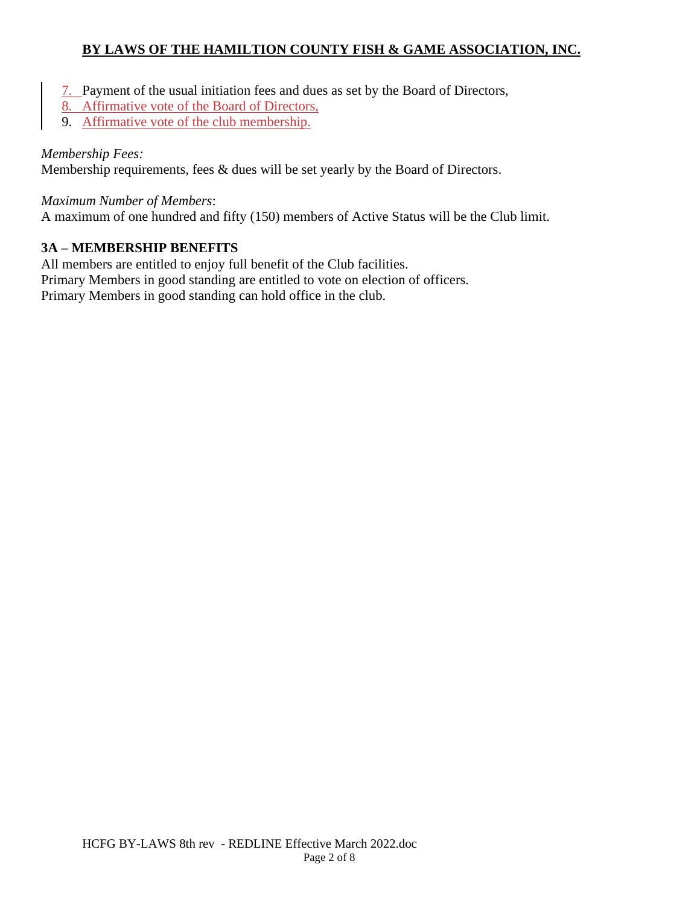- 7. Payment of the usual initiation fees and dues as set by the Board of Directors,
- 8. Affirmative vote of the Board of Directors,
- 9. Affirmative vote of the club membership.

#### *Membership Fees:*

Membership requirements, fees & dues will be set yearly by the Board of Directors.

*Maximum Number of Members*:

A maximum of one hundred and fifty (150) members of Active Status will be the Club limit.

#### **3A – MEMBERSHIP BENEFITS**

All members are entitled to enjoy full benefit of the Club facilities. Primary Members in good standing are entitled to vote on election of officers. Primary Members in good standing can hold office in the club.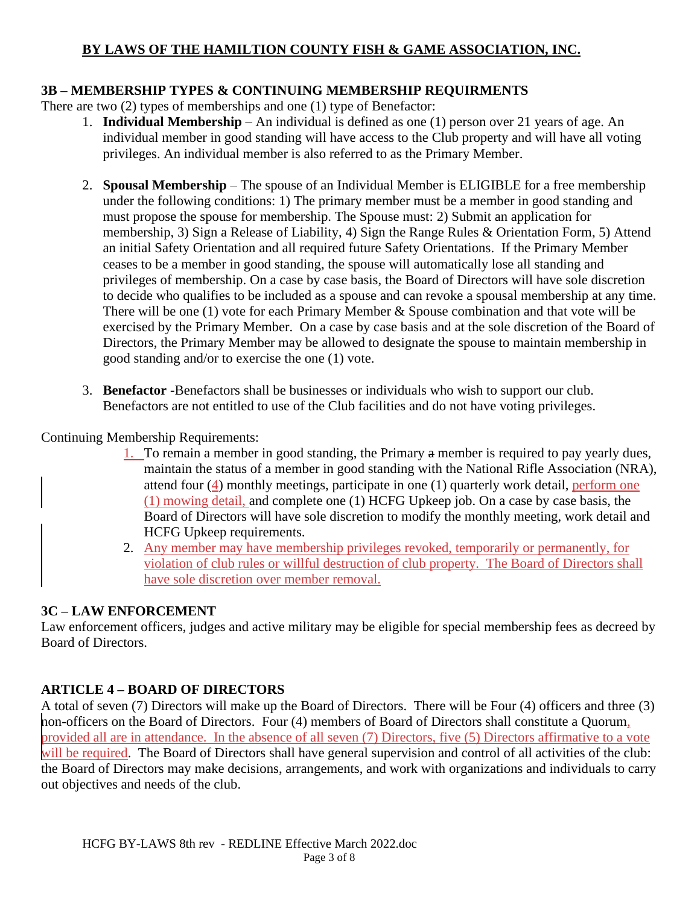### **3B – MEMBERSHIP TYPES & CONTINUING MEMBERSHIP REQUIRMENTS**

There are two (2) types of memberships and one (1) type of Benefactor:

- 1. **Individual Membership**  An individual is defined as one (1) person over 21 years of age. An individual member in good standing will have access to the Club property and will have all voting privileges. An individual member is also referred to as the Primary Member.
- 2. **Spousal Membership** The spouse of an Individual Member is ELIGIBLE for a free membership under the following conditions: 1) The primary member must be a member in good standing and must propose the spouse for membership. The Spouse must: 2) Submit an application for membership, 3) Sign a Release of Liability, 4) Sign the Range Rules & Orientation Form, 5) Attend an initial Safety Orientation and all required future Safety Orientations. If the Primary Member ceases to be a member in good standing, the spouse will automatically lose all standing and privileges of membership. On a case by case basis, the Board of Directors will have sole discretion to decide who qualifies to be included as a spouse and can revoke a spousal membership at any time. There will be one  $(1)$  vote for each Primary Member & Spouse combination and that vote will be exercised by the Primary Member. On a case by case basis and at the sole discretion of the Board of Directors, the Primary Member may be allowed to designate the spouse to maintain membership in good standing and/or to exercise the one (1) vote.
- 3. **Benefactor -**Benefactors shall be businesses or individuals who wish to support our club. Benefactors are not entitled to use of the Club facilities and do not have voting privileges.

### Continuing Membership Requirements:

- 1. To remain a member in good standing, the Primary a member is required to pay yearly dues, maintain the status of a member in good standing with the National Rifle Association (NRA), attend four (4) monthly meetings, participate in one (1) quarterly work detail, perform one (1) mowing detail, and complete one (1) HCFG Upkeep job. On a case by case basis, the Board of Directors will have sole discretion to modify the monthly meeting, work detail and HCFG Upkeep requirements.
- 2. Any member may have membership privileges revoked, temporarily or permanently, for violation of club rules or willful destruction of club property. The Board of Directors shall have sole discretion over member removal.

## **3C – LAW ENFORCEMENT**

Law enforcement officers, judges and active military may be eligible for special membership fees as decreed by Board of Directors.

## **ARTICLE 4 – BOARD OF DIRECTORS**

A total of seven (7) Directors will make up the Board of Directors. There will be Four (4) officers and three (3) non-officers on the Board of Directors. Four (4) members of Board of Directors shall constitute a Quorum, provided all are in attendance. In the absence of all seven (7) Directors, five (5) Directors affirmative to a vote will be required. The Board of Directors shall have general supervision and control of all activities of the club: the Board of Directors may make decisions, arrangements, and work with organizations and individuals to carry out objectives and needs of the club.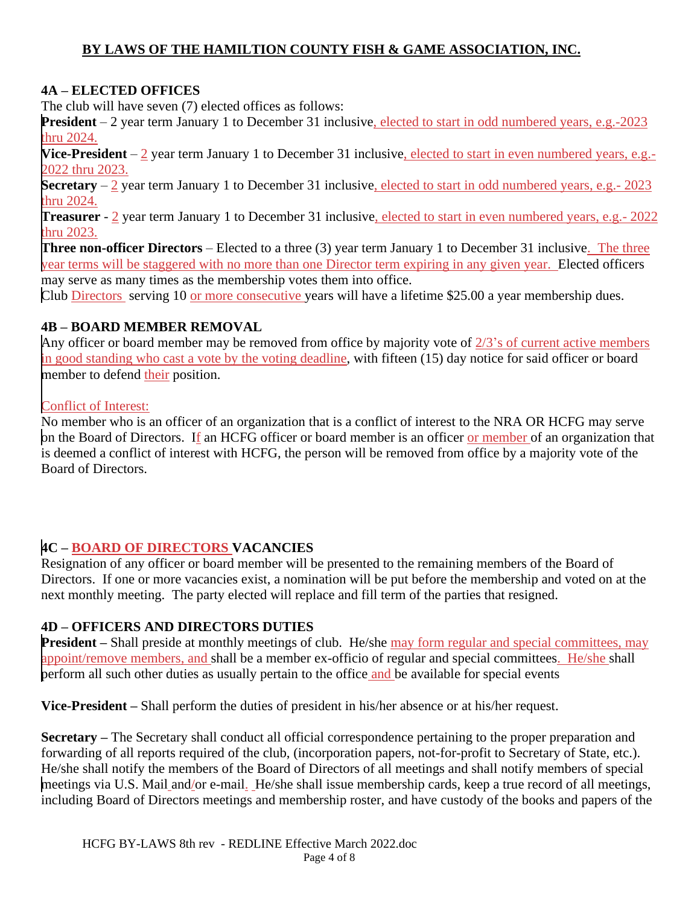#### **4A – ELECTED OFFICES**

The club will have seven (7) elected offices as follows:

**President** – 2 year term January 1 to December 31 inclusive, elected to start in odd numbered years, e.g.-2023 thru 2024.

**Vice-President** – 2 year term January 1 to December 31 inclusive, elected to start in even numbered years, e.g.-2022 thru 2023.

**Secretary** – 2 year term January 1 to December 31 inclusive, elected to start in odd numbered years, e.g.- 2023 thru 2024.

**Treasurer** - 2 year term January 1 to December 31 inclusive, elected to start in even numbered years, e.g.- 2022 thru 2023.

**Three non-officer Directors** – Elected to a three (3) year term January 1 to December 31 inclusive. The three year terms will be staggered with no more than one Director term expiring in any given year. Elected officers may serve as many times as the membership votes them into office.

Club Directors serving 10 or more consecutive years will have a lifetime \$25.00 a year membership dues.

### **4B – BOARD MEMBER REMOVAL**

Any officer or board member may be removed from office by majority vote of 2/3's of current active members in good standing who cast a vote by the voting deadline, with fifteen (15) day notice for said officer or board member to defend their position.

### Conflict of Interest:

No member who is an officer of an organization that is a conflict of interest to the NRA OR HCFG may serve on the Board of Directors. If an HCFG officer or board member is an officer or member of an organization that is deemed a conflict of interest with HCFG, the person will be removed from office by a majority vote of the Board of Directors.

## **4C – BOARD OF DIRECTORS VACANCIES**

Resignation of any officer or board member will be presented to the remaining members of the Board of Directors. If one or more vacancies exist, a nomination will be put before the membership and voted on at the next monthly meeting. The party elected will replace and fill term of the parties that resigned.

#### **4D – OFFICERS AND DIRECTORS DUTIES**

**President** – Shall preside at monthly meetings of club. He/she may form regular and special committees, may appoint/remove members, and shall be a member ex-officio of regular and special committees. He/she shall perform all such other duties as usually pertain to the office and be available for special events

**Vice-President –** Shall perform the duties of president in his/her absence or at his/her request.

**Secretary –** The Secretary shall conduct all official correspondence pertaining to the proper preparation and forwarding of all reports required of the club, (incorporation papers, not-for-profit to Secretary of State, etc.). He/she shall notify the members of the Board of Directors of all meetings and shall notify members of special meetings via U.S. Mail and/or e-mail. He/she shall issue membership cards, keep a true record of all meetings, including Board of Directors meetings and membership roster, and have custody of the books and papers of the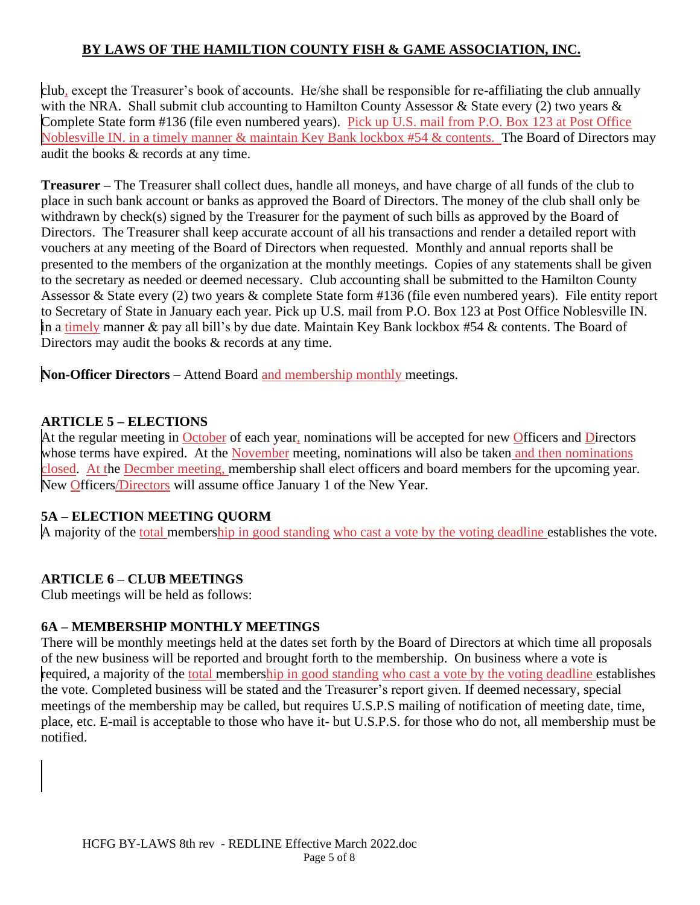club, except the Treasurer's book of accounts. He/she shall be responsible for re-affiliating the club annually with the NRA. Shall submit club accounting to Hamilton County Assessor & State every (2) two years & Complete State form #136 (file even numbered years). Pick up U.S. mail from P.O. Box 123 at Post Office Noblesville IN. in a timely manner & maintain Key Bank lockbox #54 & contents. The Board of Directors may audit the books & records at any time.

**Treasurer –** The Treasurer shall collect dues, handle all moneys, and have charge of all funds of the club to place in such bank account or banks as approved the Board of Directors. The money of the club shall only be withdrawn by check(s) signed by the Treasurer for the payment of such bills as approved by the Board of Directors. The Treasurer shall keep accurate account of all his transactions and render a detailed report with vouchers at any meeting of the Board of Directors when requested. Monthly and annual reports shall be presented to the members of the organization at the monthly meetings. Copies of any statements shall be given to the secretary as needed or deemed necessary. Club accounting shall be submitted to the Hamilton County Assessor & State every (2) two years & complete State form #136 (file even numbered years). File entity report to Secretary of State in January each year. Pick up U.S. mail from P.O. Box 123 at Post Office Noblesville IN. in a timely manner & pay all bill's by due date. Maintain Key Bank lockbox #54 & contents. The Board of Directors may audit the books & records at any time.

**Non-Officer Directors** – Attend Board and membership monthly meetings.

## **ARTICLE 5 – ELECTIONS**

At the regular meeting in October of each year, nominations will be accepted for new Officers and Directors whose terms have expired. At the November meeting, nominations will also be taken and then nominations closed. At the Decmber meeting, membership shall elect officers and board members for the upcoming year. New Officers/Directors will assume office January 1 of the New Year.

## **5A – ELECTION MEETING QUORM**

A majority of the total membership in good standing who cast a vote by the voting deadline establishes the vote.

# **ARTICLE 6 – CLUB MEETINGS**

Club meetings will be held as follows:

## **6A – MEMBERSHIP MONTHLY MEETINGS**

There will be monthly meetings held at the dates set forth by the Board of Directors at which time all proposals of the new business will be reported and brought forth to the membership. On business where a vote is required, a majority of the total membership in good standing who cast a vote by the voting deadline establishes the vote. Completed business will be stated and the Treasurer's report given. If deemed necessary, special meetings of the membership may be called, but requires U.S.P.S mailing of notification of meeting date, time, place, etc. E-mail is acceptable to those who have it- but U.S.P.S. for those who do not, all membership must be notified.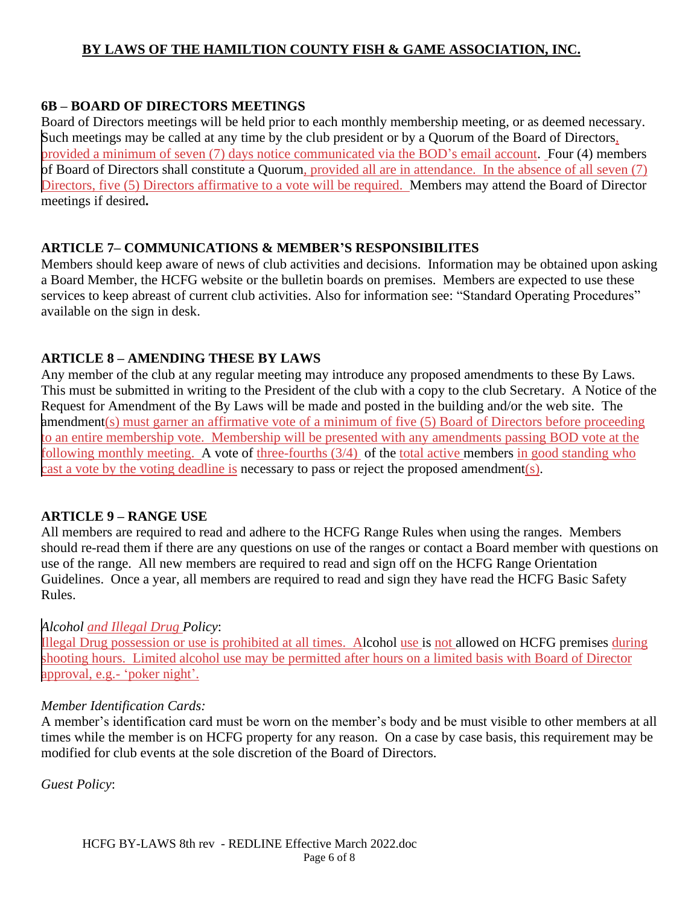#### **6B – BOARD OF DIRECTORS MEETINGS**

Board of Directors meetings will be held prior to each monthly membership meeting, or as deemed necessary. Such meetings may be called at any time by the club president or by a Quorum of the Board of Directors, provided a minimum of seven (7) days notice communicated via the BOD's email account. Four (4) members of Board of Directors shall constitute a Quorum, provided all are in attendance. In the absence of all seven (7) Directors, five (5) Directors affirmative to a vote will be required. Members may attend the Board of Director meetings if desired**.**

#### **ARTICLE 7– COMMUNICATIONS & MEMBER'S RESPONSIBILITES**

Members should keep aware of news of club activities and decisions. Information may be obtained upon asking a Board Member, the HCFG website or the bulletin boards on premises. Members are expected to use these services to keep abreast of current club activities. Also for information see: "Standard Operating Procedures" available on the sign in desk.

### **ARTICLE 8 – AMENDING THESE BY LAWS**

Any member of the club at any regular meeting may introduce any proposed amendments to these By Laws. This must be submitted in writing to the President of the club with a copy to the club Secretary. A Notice of the Request for Amendment of the By Laws will be made and posted in the building and/or the web site. The amendment(s) must garner an affirmative vote of a minimum of five (5) Board of Directors before proceeding to an entire membership vote. Membership will be presented with any amendments passing BOD vote at the following monthly meeting. A vote of three-fourths (3/4) of the total active members in good standing who cast a vote by the voting deadline is necessary to pass or reject the proposed amendment(s).

#### **ARTICLE 9 – RANGE USE**

All members are required to read and adhere to the HCFG Range Rules when using the ranges. Members should re-read them if there are any questions on use of the ranges or contact a Board member with questions on use of the range. All new members are required to read and sign off on the HCFG Range Orientation Guidelines. Once a year, all members are required to read and sign they have read the HCFG Basic Safety Rules.

#### *Alcohol and Illegal Drug Policy*:

Illegal Drug possession or use is prohibited at all times. Alcohol use is not allowed on HCFG premises during shooting hours. Limited alcohol use may be permitted after hours on a limited basis with Board of Director approval, e.g.- 'poker night'.

#### *Member Identification Cards:*

A member's identification card must be worn on the member's body and be must visible to other members at all times while the member is on HCFG property for any reason. On a case by case basis, this requirement may be modified for club events at the sole discretion of the Board of Directors.

*Guest Policy*: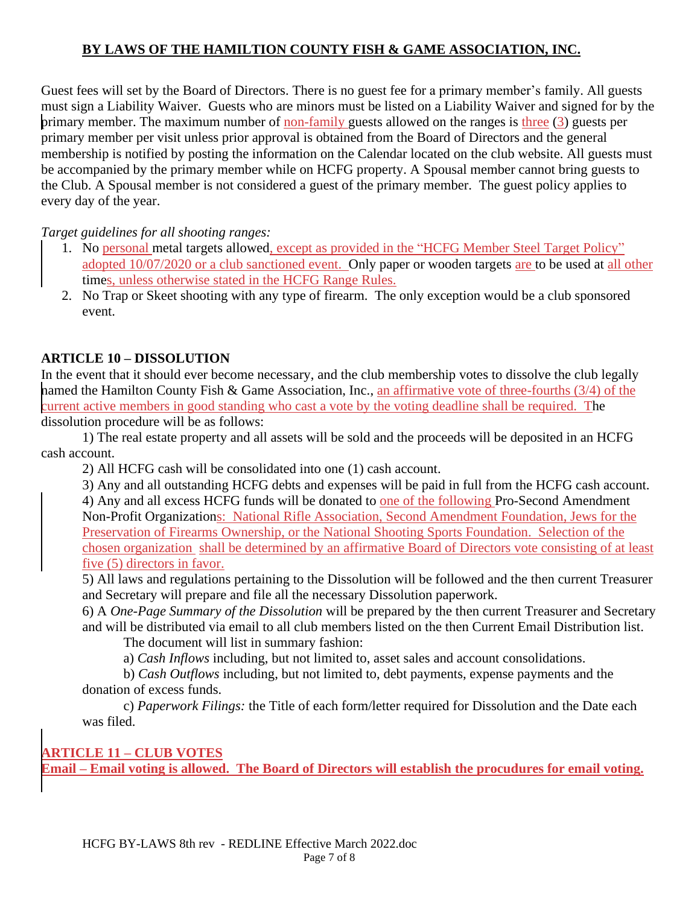Guest fees will set by the Board of Directors. There is no guest fee for a primary member's family. All guests must sign a Liability Waiver. Guests who are minors must be listed on a Liability Waiver and signed for by the primary member. The maximum number of non-family guests allowed on the ranges is three (3) guests per primary member per visit unless prior approval is obtained from the Board of Directors and the general membership is notified by posting the information on the Calendar located on the club website. All guests must be accompanied by the primary member while on HCFG property. A Spousal member cannot bring guests to the Club. A Spousal member is not considered a guest of the primary member. The guest policy applies to every day of the year.

*Target guidelines for all shooting ranges:*

- 1. No personal metal targets allowed, except as provided in the "HCFG Member Steel Target Policy" adopted 10/07/2020 or a club sanctioned event. Only paper or wooden targets are to be used at all other times, unless otherwise stated in the HCFG Range Rules.
- 2. No Trap or Skeet shooting with any type of firearm. The only exception would be a club sponsored event.

## **ARTICLE 10 – DISSOLUTION**

In the event that it should ever become necessary, and the club membership votes to dissolve the club legally named the Hamilton County Fish & Game Association, Inc., an affirmative vote of three-fourths (3/4) of the current active members in good standing who cast a vote by the voting deadline shall be required. The dissolution procedure will be as follows:

1) The real estate property and all assets will be sold and the proceeds will be deposited in an HCFG cash account.

2) All HCFG cash will be consolidated into one (1) cash account.

3) Any and all outstanding HCFG debts and expenses will be paid in full from the HCFG cash account.

4) Any and all excess HCFG funds will be donated to one of the following Pro-Second Amendment Non-Profit Organizations: National Rifle Association, Second Amendment Foundation, Jews for the Preservation of Firearms Ownership, or the National Shooting Sports Foundation. Selection of the chosen organization shall be determined by an affirmative Board of Directors vote consisting of at least five (5) directors in favor.

5) All laws and regulations pertaining to the Dissolution will be followed and the then current Treasurer and Secretary will prepare and file all the necessary Dissolution paperwork.

6) A *One-Page Summary of the Dissolution* will be prepared by the then current Treasurer and Secretary and will be distributed via email to all club members listed on the then Current Email Distribution list.

The document will list in summary fashion:

a) *Cash Inflows* including, but not limited to, asset sales and account consolidations.

b) *Cash Outflows* including, but not limited to, debt payments, expense payments and the donation of excess funds.

c) *Paperwork Filings:* the Title of each form/letter required for Dissolution and the Date each was filed.

**ARTICLE 11 – CLUB VOTES**

**Email – Email voting is allowed. The Board of Directors will establish the procudures for email voting.**